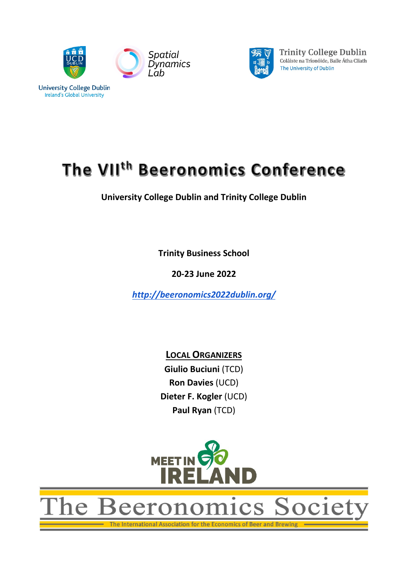



**Trinity College Dublin** Coláiste na Tríonóide, Baile Átha Cliath The University of Dublin

# The VII<sup>th</sup> Beeronomics Conference

**University College Dublin and Trinity College Dublin**

**Trinity Business School**

**20-23 June 2022**

*<http://beeronomics2022dublin.org/>*

**LOCAL ORGANIZERS Giulio Buciuni** (TCD) **Ron Davies** (UCD) **Dieter F. Kogler** (UCD) **Paul Ryan** (TCD)



ne Beeronomics Societ

The International Association for the Economics of Beer and Brewing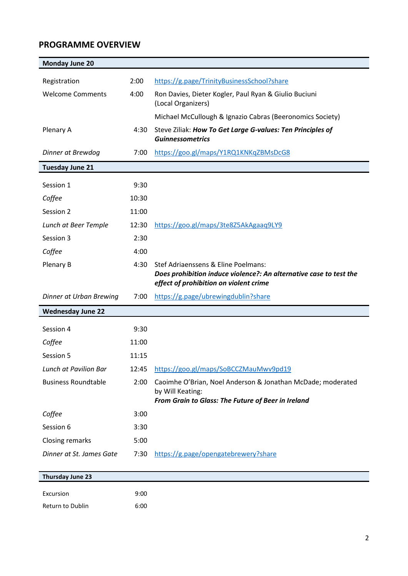# **PROGRAMME OVERVIEW**

| <b>Monday June 20</b>        |       |                                                                                                                                       |
|------------------------------|-------|---------------------------------------------------------------------------------------------------------------------------------------|
| Registration                 | 2:00  | https://g.page/TrinityBusinessSchool?share                                                                                            |
| <b>Welcome Comments</b>      | 4:00  | Ron Davies, Dieter Kogler, Paul Ryan & Giulio Buciuni<br>(Local Organizers)                                                           |
|                              |       | Michael McCullough & Ignazio Cabras (Beeronomics Society)                                                                             |
| Plenary A                    | 4:30  | Steve Ziliak: How To Get Large G-values: Ten Principles of<br><b>Guinnessometrics</b>                                                 |
| Dinner at Brewdog            | 7:00  | https://goo.gl/maps/Y1RQ1KNKqZBMsDcG8                                                                                                 |
| <b>Tuesday June 21</b>       |       |                                                                                                                                       |
| Session 1                    | 9:30  |                                                                                                                                       |
| Coffee                       | 10:30 |                                                                                                                                       |
| Session 2                    | 11:00 |                                                                                                                                       |
| Lunch at Beer Temple         | 12:30 | https://goo.gl/maps/3te8Z5AkAgaaq9LY9                                                                                                 |
| Session 3                    | 2:30  |                                                                                                                                       |
| Coffee                       | 4:00  |                                                                                                                                       |
| Plenary B                    | 4:30  | Stef Adriaenssens & Eline Poelmans:                                                                                                   |
|                              |       | Does prohibition induce violence?: An alternative case to test the<br>effect of prohibition on violent crime                          |
| Dinner at Urban Brewing      | 7:00  | https://g.page/ubrewingdublin?share                                                                                                   |
| <b>Wednesday June 22</b>     |       |                                                                                                                                       |
| Session 4                    | 9:30  |                                                                                                                                       |
| Coffee                       | 11:00 |                                                                                                                                       |
| Session 5                    | 11:15 |                                                                                                                                       |
| <b>Lunch at Pavilion Bar</b> | 12:45 | https://goo.gl/maps/SoBCCZMauMwv9pd19                                                                                                 |
| <b>Business Roundtable</b>   | 2:00  | Caoimhe O'Brian, Noel Anderson & Jonathan McDade; moderated<br>by Will Keating:<br>From Grain to Glass: The Future of Beer in Ireland |
| Coffee                       | 3:00  |                                                                                                                                       |
| Session 6                    | 3:30  |                                                                                                                                       |
| <b>Closing remarks</b>       | 5:00  |                                                                                                                                       |
| Dinner at St. James Gate     | 7:30  | https://g.page/opengatebrewery?share                                                                                                  |
|                              |       |                                                                                                                                       |
| Thursday June 23             |       |                                                                                                                                       |
| Excursion                    | 9:00  |                                                                                                                                       |
| Return to Dublin             | 6:00  |                                                                                                                                       |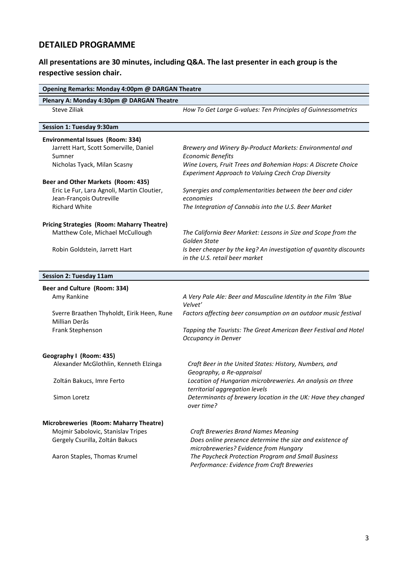## **DETAILED PROGRAMME**

### **All presentations are 30 minutes, including Q&A. The last presenter in each group is the respective session chair.**

| Opening Remarks: Monday 4:00pm @ DARGAN Theatre   |                                                                                                      |
|---------------------------------------------------|------------------------------------------------------------------------------------------------------|
| Plenary A: Monday 4:30pm @ DARGAN Theatre         |                                                                                                      |
| Steve Ziliak                                      | How To Get Large G-values: Ten Principles of Guinnessometrics                                        |
| <b>Session 1: Tuesday 9:30am</b>                  |                                                                                                      |
| Environmental Issues (Room: 334)                  |                                                                                                      |
| Jarrett Hart, Scott Somerville, Daniel            | Brewery and Winery By-Product Markets: Environmental and                                             |
| Sumner                                            | <b>Economic Benefits</b>                                                                             |
| Nicholas Tyack, Milan Scasny                      | Wine Lovers, Fruit Trees and Bohemian Hops: A Discrete Choice                                        |
| Beer and Other Markets (Room: 435)                | Experiment Approach to Valuing Czech Crop Diversity                                                  |
| Eric Le Fur, Lara Agnoli, Martin Cloutier,        | Synergies and complementarities between the beer and cider                                           |
| Jean-François Outreville                          | economies                                                                                            |
| <b>Richard White</b>                              | The Integration of Cannabis into the U.S. Beer Market                                                |
|                                                   |                                                                                                      |
| <b>Pricing Strategies (Room: Maharry Theatre)</b> |                                                                                                      |
| Matthew Cole, Michael McCullough                  | The California Beer Market: Lessons in Size and Scope from the                                       |
|                                                   | Golden State                                                                                         |
| Robin Goldstein, Jarrett Hart                     | Is beer cheaper by the keg? An investigation of quantity discounts<br>in the U.S. retail beer market |
|                                                   |                                                                                                      |
| <b>Session 2: Tuesday 11am</b>                    |                                                                                                      |
| Beer and Culture (Room: 334)                      |                                                                                                      |
| Amy Rankine                                       | A Very Pale Ale: Beer and Masculine Identity in the Film 'Blue                                       |
|                                                   | Velvet'                                                                                              |
| Sverre Braathen Thyholdt, Eirik Heen, Rune        | Factors affecting beer consumption on an outdoor music festival                                      |
| Millian Derås                                     |                                                                                                      |
| Frank Stephenson                                  | Tapping the Tourists: The Great American Beer Festival and Hotel                                     |
|                                                   | Occupancy in Denver                                                                                  |
| Geography I (Room: 435)                           |                                                                                                      |
| Alexander McGlothlin, Kenneth Elzinga             | Craft Beer in the United States: History, Numbers, and                                               |
|                                                   | Geography, a Re-appraisal                                                                            |
| Zoltán Bakucs, Imre Ferto                         | Location of Hungarian microbreweries. An analysis on three                                           |
|                                                   | territorial aggregation levels                                                                       |
| Simon Loretz                                      | Determinants of brewery location in the UK: Have they changed<br>over time?                          |
|                                                   |                                                                                                      |
| Microbreweries (Room: Maharry Theatre)            |                                                                                                      |
| Mojmir Sabolovic, Stanislav Tripes                | Craft Breweries Brand Names Meaning                                                                  |
| Gergely Csurilla, Zoltán Bakucs                   | Does online presence determine the size and existence of                                             |
|                                                   | microbreweries? Evidence from Hungary                                                                |
| Aaron Staples, Thomas Krumel                      | The Paycheck Protection Program and Small Business                                                   |
|                                                   | Performance: Evidence from Craft Breweries                                                           |
|                                                   |                                                                                                      |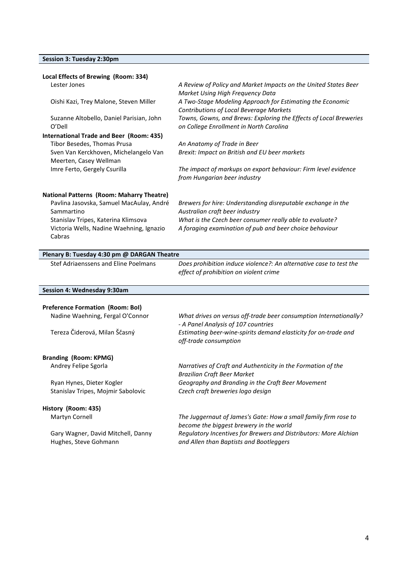#### **Session 3: Tuesday 2:30pm**

| Local Effects of Brewing (Room: 334)               |                                                                                                              |
|----------------------------------------------------|--------------------------------------------------------------------------------------------------------------|
| Lester Jones                                       | A Review of Policy and Market Impacts on the United States Beer<br>Market Using High Frequency Data          |
| Oishi Kazi, Trey Malone, Steven Miller             | A Two-Stage Modeling Approach for Estimating the Economic<br><b>Contributions of Local Beverage Markets</b>  |
| Suzanne Altobello, Daniel Parisian, John<br>O'Dell | Towns, Gowns, and Brews: Exploring the Effects of Local Breweries<br>on College Enrollment in North Carolina |
| International Trade and Beer (Room: 435)           |                                                                                                              |
| Tibor Besedes, Thomas Prusa                        | An Anatomy of Trade in Beer                                                                                  |
| Sven Van Kerckhoven, Michelangelo Van              | Brexit: Impact on British and EU beer markets                                                                |
| Meerten, Casey Wellman                             |                                                                                                              |
| Imre Ferto, Gergely Csurilla                       | The impact of markups on export behaviour: Firm level evidence<br>from Hungarian beer industry               |
| <b>National Patterns (Room: Maharry Theatre)</b>   |                                                                                                              |
| Pavlina Jasovska, Samuel MacAulay, André           | Brewers for hire: Understanding disreputable exchange in the                                                 |
| Sammartino                                         | Australian craft beer industry                                                                               |
| Stanislav Tripes, Katerina Klimsova                | What is the Czech beer consumer really able to evaluate?                                                     |
| Victoria Wells, Nadine Waehning, Ignazio           | A foraging examination of pub and beer choice behaviour                                                      |
| Cabras                                             |                                                                                                              |
|                                                    |                                                                                                              |

#### **Plenary B: Tuesday 4:30 pm @ DARGAN Theatre**

Stef Adriaenssens and Eline Poelmans *Does prohibition induce violence?: An alternative case to test the effect of prohibition on violent crime*

|  |  | Session 4: Wednesday 9:30am |
|--|--|-----------------------------|
|--|--|-----------------------------|

| <b>Preference Formation (Room: Bol)</b> |                                                                                                          |
|-----------------------------------------|----------------------------------------------------------------------------------------------------------|
| Nadine Waehning, Fergal O'Connor        | What drives on versus off-trade beer consumption Internationally?<br>- A Panel Analysis of 107 countries |
| Tereza Čiderová, Milan Ščasný           | Estimating beer-wine-spirits demand elasticity for on-trade and                                          |
|                                         | off-trade consumption                                                                                    |
| Branding (Room: KPMG)                   |                                                                                                          |
| Andrey Felipe Sgorla                    | Narratives of Craft and Authenticity in the Formation of the                                             |
|                                         | <b>Brazilian Craft Beer Market</b>                                                                       |
| Ryan Hynes, Dieter Kogler               | Geography and Branding in the Craft Beer Movement                                                        |
| Stanislav Tripes, Mojmir Sabolovic      | Czech craft breweries logo design                                                                        |
| History (Room: 435)                     |                                                                                                          |
| Martyn Cornell                          | The Juggernaut of James's Gate: How a small family firm rose to                                          |
|                                         | become the biggest brewery in the world                                                                  |
| Gary Wagner, David Mitchell, Danny      | Regulatory Incentives for Brewers and Distributors: More Alchian                                         |
| Hughes, Steve Gohmann                   | and Allen than Baptists and Bootleggers                                                                  |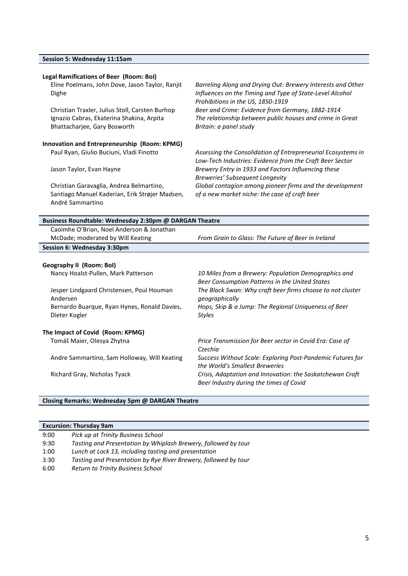|  | Session 5: Wednesday 11:15am |  |
|--|------------------------------|--|
|--|------------------------------|--|

#### **Legal Ramifications of Beer (Room: BoI)** Eline Poelmans, John Dove, Jason Taylor, Ranjit Dighe *Barreling Along and Drying Out: Brewery Interests and Other Influences on the Timing and Type of State-Level Alcohol Prohibitions in the US, 1850-1919* Christian Traxler, Julius Stoll, Carsten Burhop *Beer and Crime: Evidence from Germany, 1882-1914* Ignazio Cabras, Ekaterina Shakina, Arpita Bhattacharjee, Gary Bosworth *The relationship between public houses and crime in Great Britain: a panel study* **Innovation and Entrepreneurship (Room: KPMG)** Paul Ryan, Giulio Buciuni, Vladi Finotto *Assessing the Consolidation of Entrepreneurial Ecosystems in Low-Tech Industries: Evidence from the Craft Beer Sector* Jason Taylor, Evan Hayne *Brewery Entry in 1933 and Factors Influencing these Breweries' Subsequent Longevity* Christian Garavaglia, Andrea Belmartino, Santiago Manuel Kaderian, Erik Strøjer Madsen, André Sammartino *Global contagion among pioneer firms and the development of a new market niche: the case of craft beer* **Business Roundtable: Wednesday 2:30pm @ DARGAN Theatre**

| Caoimhe O'Brian, Noel Anderson & Jonathan |                                                    |
|-------------------------------------------|----------------------------------------------------|
| McDade; moderated by Will Keating         | From Grain to Glass: The Future of Beer in Ireland |
| Session 6: Wednesday 3:30pm               |                                                    |
|                                           |                                                    |

#### **Geography II (Room: BoI)**

Nancy Hoalst-Pullen, Mark Patterson *10 Miles from a Brewery: Population Demographics and* 

Jesper Lindgaard Christensen, Poul Houman Andersen Bernardo Buarque, Ryan Hynes, Ronald Davies, Dieter Kogler

#### **The Impact of Covid (Room: KPMG)**

Andre Sammartino, Sam Holloway, Will Keating *Success Without Scale: Exploring Post-Pandemic Futures for* 

*Beer Consumption Patterns in the United States The Black Swan: Why craft beer firms choose to not cluster geographically Hops, Skip & a Jump: The Regional Uniqueness of Beer Styles* Tomáš Maier, Olesya Zhytna *Price Transmission for Beer sector in Covid Era: Case of Czechia*

*the World's Smallest Breweries* Richard Gray, Nicholas Tyack *Crisis, Adaptation and Innovation: the Saskatchewan Craft* 

*Beer Industry during the times of Covid*

#### **Closing Remarks: Wednesday 5pm @ DARGAN Theatre**

| <b>Excursion: Thursday 9am</b> |                                                                 |
|--------------------------------|-----------------------------------------------------------------|
| 9:00                           | Pick up at Trinity Business School                              |
| 9:30                           | Tasting and Presentation by Whiplash Brewery, followed by tour  |
| 1:00                           | Lunch at Lock 13, including tasting and presentation            |
| 3:30                           | Tasting and Presentation by Rye River Brewery, followed by tour |
| 6:00                           | <b>Return to Trinity Business School</b>                        |